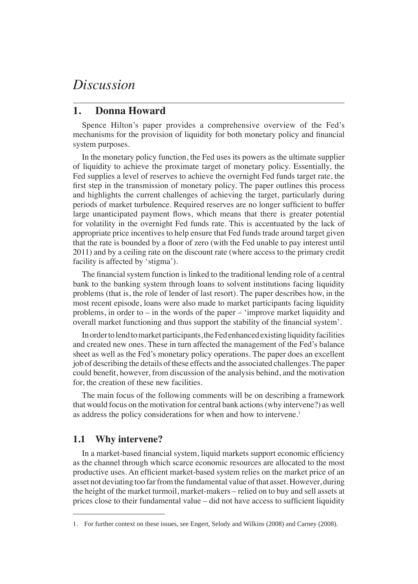# *Discussion*

# **1. Donna Howard**

Spence Hilton's paper provides a comprehensive overview of the Fed's mechanisms for the provision of liquidity for both monetary policy and financial system purposes.

In the monetary policy function, the Fed uses its powers as the ultimate supplier of liquidity to achieve the proximate target of monetary policy. Essentially, the Fed supplies a level of reserves to achieve the overnight Fed funds target rate, the first step in the transmission of monetary policy. The paper outlines this process and highlights the current challenges of achieving the target, particularly during periods of market turbulence. Required reserves are no longer sufficient to buffer large unanticipated payment flows, which means that there is greater potential for volatility in the overnight Fed funds rate. This is accentuated by the lack of appropriate price incentives to help ensure that Fed funds trade around target given that the rate is bounded by a floor of zero (with the Fed unable to pay interest until 2011) and by a ceiling rate on the discount rate (where access to the primary credit facility is affected by 'stigma').

The financial system function is linked to the traditional lending role of a central bank to the banking system through loans to solvent institutions facing liquidity problems (that is, the role of lender of last resort). The paper describes how, in the most recent episode, loans were also made to market participants facing liquidity problems, in order to – in the words of the paper – 'improve market liquidity and overall market functioning and thus support the stability of the financial system'.

In order to lend to market participants, the Fed enhanced existing liquidity facilities and created new ones. These in turn affected the management of the Fed's balance sheet as well as the Fed's monetary policy operations. The paper does an excellent job of describing the details of these effects and the associated challenges. The paper could benefit, however, from discussion of the analysis behind, and the motivation for, the creation of these new facilities.

The main focus of the following comments will be on describing a framework that would focus on the motivation for central bank actions (why intervene?) as well as address the policy considerations for when and how to intervene.<sup>1</sup>

### **1.1 Why intervene?**

In a market-based financial system, liquid markets support economic efficiency as the channel through which scarce economic resources are allocated to the most productive uses. An efficient market-based system relies on the market price of an asset not deviating too far from the fundamental value of that asset. However, during the height of the market turmoil, market-makers – relied on to buy and sell assets at prices close to their fundamental value – did not have access to sufficient liquidity

<sup>1.</sup> For further context on these issues, see Engert, Selody and Wilkins (2008) and Carney (2008).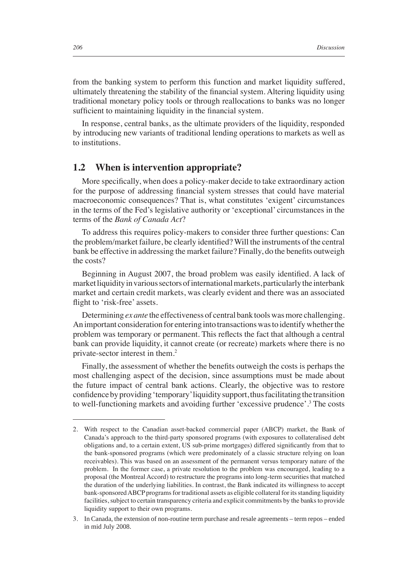from the banking system to perform this function and market liquidity suffered, ultimately threatening the stability of the financial system. Altering liquidity using traditional monetary policy tools or through reallocations to banks was no longer sufficient to maintaining liquidity in the financial system.

In response, central banks, as the ultimate providers of the liquidity, responded by introducing new variants of traditional lending operations to markets as well as to institutions.

#### **1.2 When is intervention appropriate?**

More specifically, when does a policy-maker decide to take extraordinary action for the purpose of addressing financial system stresses that could have material macroeconomic consequences? That is, what constitutes 'exigent' circumstances in the terms of the Fed's legislative authority or 'exceptional' circumstances in the terms of the *Bank of Canada Act*?

To address this requires policy-makers to consider three further questions: Can the problem/market failure, be clearly identified? Will the instruments of the central bank be effective in addressing the market failure? Finally, do the benefits outweigh the costs?

Beginning in August 2007, the broad problem was easily identified. A lack of market liquidity in various sectors of international markets, particularly the interbank market and certain credit markets, was clearly evident and there was an associated flight to 'risk-free' assets.

Determining *ex ante* the effectiveness of central bank tools was more challenging. An important consideration for entering into transactions was to identify whether the problem was temporary or permanent. This reflects the fact that although a central bank can provide liquidity, it cannot create (or recreate) markets where there is no private-sector interest in them.2

Finally, the assessment of whether the benefits outweigh the costs is perhaps the most challenging aspect of the decision, since assumptions must be made about the future impact of central bank actions. Clearly, the objective was to restore confidence by providing 'temporary' liquidity support, thus facilitating the transition to well-functioning markets and avoiding further 'excessive prudence'.<sup>3</sup> The costs

<sup>2.</sup> With respect to the Canadian asset-backed commercial paper (ABCP) market, the Bank of Canada's approach to the third-party sponsored programs (with exposures to collateralised debt obligations and, to a certain extent, US sub-prime mortgages) differed significantly from that to the bank-sponsored programs (which were predominately of a classic structure relying on loan receivables). This was based on an assessment of the permanent versus temporary nature of the problem. In the former case, a private resolution to the problem was encouraged, leading to a proposal (the Montreal Accord) to restructure the programs into long-term securities that matched the duration of the underlying liabilities. In contrast, the Bank indicated its willingness to accept bank-sponsored ABCP programs for traditional assets as eligible collateral for its standing liquidity facilities, subject to certain transparency criteria and explicit commitments by the banks to provide liquidity support to their own programs.

<sup>3.</sup> In Canada, the extension of non-routine term purchase and resale agreements – term repos – ended in mid July 2008.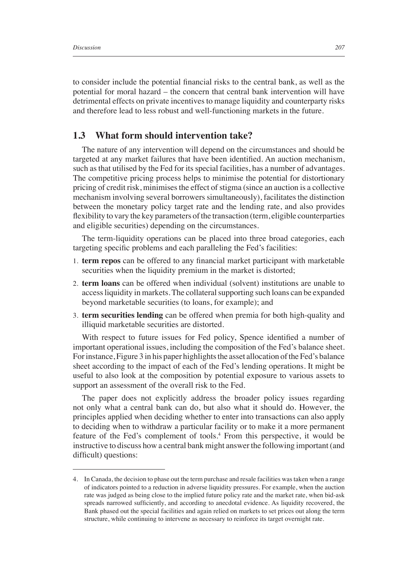to consider include the potential financial risks to the central bank, as well as the potential for moral hazard – the concern that central bank intervention will have detrimental effects on private incentives to manage liquidity and counterparty risks and therefore lead to less robust and well-functioning markets in the future.

#### **1.3 What form should intervention take?**

The nature of any intervention will depend on the circumstances and should be targeted at any market failures that have been identified. An auction mechanism, such as that utilised by the Fed for its special facilities, has a number of advantages. The competitive pricing process helps to minimise the potential for distortionary pricing of credit risk, minimises the effect of stigma (since an auction is a collective mechanism involving several borrowers simultaneously), facilitates the distinction between the monetary policy target rate and the lending rate, and also provides flexibility to vary the key parameters of the transaction (term, eligible counterparties and eligible securities) depending on the circumstances.

The term-liquidity operations can be placed into three broad categories, each targeting specific problems and each paralleling the Fed's facilities:

- 1. **term repos** can be offered to any financial market participant with marketable securities when the liquidity premium in the market is distorted;
- 2. **term loans** can be offered when individual (solvent) institutions are unable to access liquidity in markets. The collateral supporting such loans can be expanded beyond marketable securities (to loans, for example); and
- 3. **term securities lending** can be offered when premia for both high-quality and illiquid marketable securities are distorted.

With respect to future issues for Fed policy, Spence identified a number of important operational issues, including the composition of the Fed's balance sheet. For instance, Figure 3 in his paper highlights the asset allocation of the Fed's balance sheet according to the impact of each of the Fed's lending operations. It might be useful to also look at the composition by potential exposure to various assets to support an assessment of the overall risk to the Fed.

The paper does not explicitly address the broader policy issues regarding not only what a central bank can do, but also what it should do. However, the principles applied when deciding whether to enter into transactions can also apply to deciding when to withdraw a particular facility or to make it a more permanent feature of the Fed's complement of tools.<sup>4</sup> From this perspective, it would be instructive to discuss how a central bank might answer the following important (and difficult) questions:

<sup>4.</sup> In Canada, the decision to phase out the term purchase and resale facilities was taken when a range of indicators pointed to a reduction in adverse liquidity pressures. For example, when the auction rate was judged as being close to the implied future policy rate and the market rate, when bid-ask spreads narrowed sufficiently, and according to anecdotal evidence. As liquidity recovered, the Bank phased out the special facilities and again relied on markets to set prices out along the term structure, while continuing to intervene as necessary to reinforce its target overnight rate.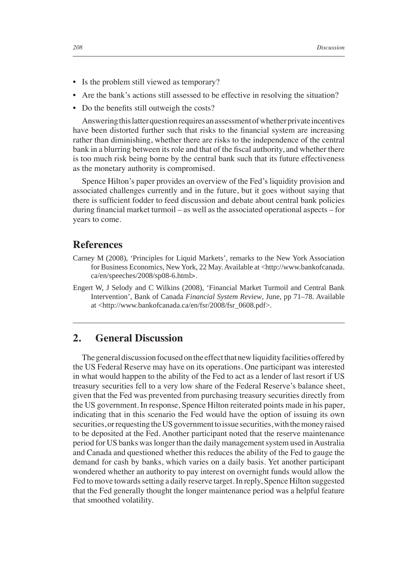- Is the problem still viewed as temporary?
- Are the bank's actions still assessed to be effective in resolving the situation?
- Do the benefits still outweigh the costs?

Answering this latter question requires an assessment of whether private incentives have been distorted further such that risks to the financial system are increasing rather than diminishing, whether there are risks to the independence of the central bank in a blurring between its role and that of the fiscal authority, and whether there is too much risk being borne by the central bank such that its future effectiveness as the monetary authority is compromised.

Spence Hilton's paper provides an overview of the Fed's liquidity provision and associated challenges currently and in the future, but it goes without saying that there is sufficient fodder to feed discussion and debate about central bank policies during financial market turmoil – as well as the associated operational aspects – for years to come.

## **References**

- Carney M (2008), 'Principles for Liquid Markets', remarks to the New York Association for Business Economics, New York, 22 May. Available at <http://www.bankofcanada. ca/en/speeches/2008/sp08-6.html>.
- Engert W, J Selody and C Wilkins (2008), 'Financial Market Turmoil and Central Bank Intervention', Bank of Canada *Financial System Review*, June, pp 71–78. Available at <http://www.bankofcanada.ca/en/fsr/2008/fsr\_0608.pdf>.

# **2. General Discussion**

The general discussion focused on the effect that new liquidity facilities offered by the US Federal Reserve may have on its operations. One participant was interested in what would happen to the ability of the Fed to act as a lender of last resort if US treasury securities fell to a very low share of the Federal Reserve's balance sheet, given that the Fed was prevented from purchasing treasury securities directly from the US government. In response, Spence Hilton reiterated points made in his paper, indicating that in this scenario the Fed would have the option of issuing its own securities, or requesting the US government to issue securities, with the money raised to be deposited at the Fed. Another participant noted that the reserve maintenance period for US banks was longer than the daily management system used in Australia and Canada and questioned whether this reduces the ability of the Fed to gauge the demand for cash by banks, which varies on a daily basis. Yet another participant wondered whether an authority to pay interest on overnight funds would allow the Fed to move towards setting a daily reserve target. In reply, Spence Hilton suggested that the Fed generally thought the longer maintenance period was a helpful feature that smoothed volatility.